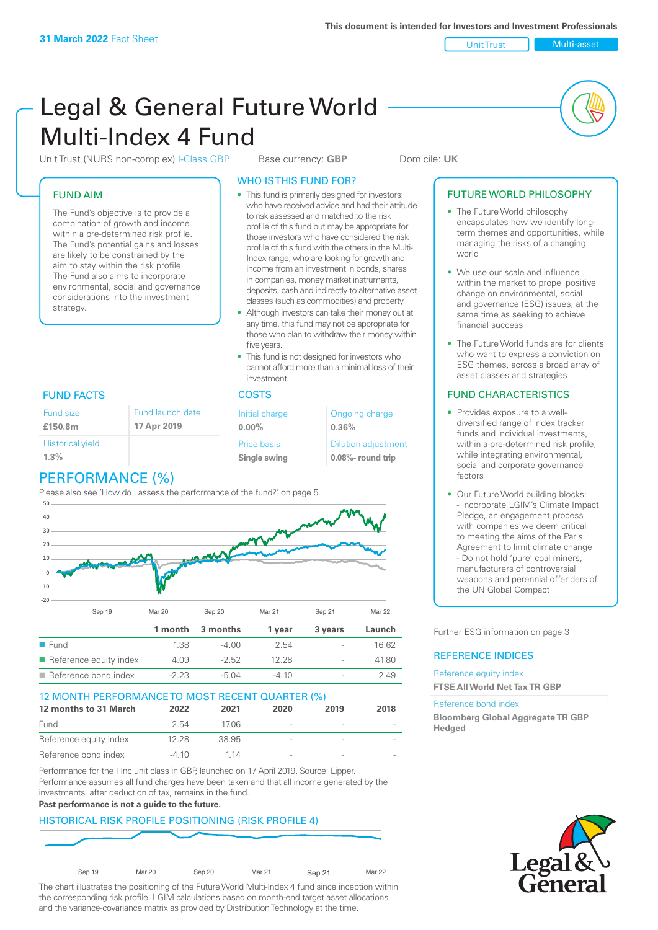Unit Trust Nulti-asset

# Legal & General Future World Multi-Index 4 Fund

Unit Trust (NURS non-complex) I-Class GBP Base currency: **GBP** Domicile: UK

#### FUND AIM

The Fund's objective is to provide a combination of growth and income within a pre-determined risk profile. The Fund's potential gains and losses are likely to be constrained by the aim to stay within the risk profile. The Fund also aims to incorporate environmental, social and governance considerations into the investment strategy.

#### WHO IS THIS FUND FOR?

- This fund is primarily designed for investors: who have received advice and had their attitude to risk assessed and matched to the risk profile of this fund but may be appropriate for those investors who have considered the risk profile of this fund with the others in the Multi-Index range; who are looking for growth and income from an investment in bonds, shares in companies, money market instruments, deposits, cash and indirectly to alternative asset classes (such as commodities) and property.
- Although investors can take their money out at any time, this fund may not be appropriate for those who plan to withdraw their money within five years.
- This fund is not designed for investors who cannot afford more than a minimal loss of their investment.

| Fund launch date | Initial charge              | Ongoing charge                                  |  |
|------------------|-----------------------------|-------------------------------------------------|--|
| 17 Apr 2019      | $0.00\%$                    | 0.36%                                           |  |
|                  | Price basis<br>Single swing | <b>Dilution adjustment</b><br>0.08%- round trip |  |

# FUND FACTS COSTS

Historical yield

Fund size **£150.8m**

**1.3%**

| PERFORMANCE (%) |  |
|-----------------|--|

Please also see 'How do I assess the performance of the fund?' on page 5.



#### 12 MONTH PERFORMANCE TO MOST RECENT QUARTER (%)

| 12 months to 31 March  | 2022  | 2021  | 2020 | 2019                     | 2018 |
|------------------------|-------|-------|------|--------------------------|------|
| Fund                   | 2.54  | 1706. |      | $\overline{\phantom{a}}$ |      |
| Reference equity index | 12.28 | 38.95 |      | $\overline{\phantom{a}}$ |      |
| Reference bond index   | -4.10 | 1 14  |      | $\overline{\phantom{a}}$ |      |

Performance for the I Inc unit class in GBP, launched on 17 April 2019. Source: Lipper. Performance assumes all fund charges have been taken and that all income generated by the investments, after deduction of tax, remains in the fund.

#### **Past performance is not a guide to the future.**

#### HISTORICAL RISK PROFILE POSITIONING (RISK PROFILE 4)



The chart illustrates the positioning of the Future World Multi-Index 4 fund since inception within the corresponding risk profile. LGIM calculations based on month-end target asset allocations and the variance-covariance matrix as provided by Distribution Technology at the time.

#### FUTURE WORLD PHILOSOPHY

- The Future World philosophy encapsulates how we identify longterm themes and opportunities, while managing the risks of a changing world
- We use our scale and influence within the market to propel positive change on environmental, social and governance (ESG) issues, at the same time as seeking to achieve financial success
- The Future World funds are for clients who want to express a conviction on ESG themes, across a broad array of asset classes and strategies

#### FUND CHARACTERISTICS

- Provides exposure to a welldiversified range of index tracker funds and individual investments, within a pre-determined risk profile while integrating environmental, social and corporate governance factors
- Our Future World building blocks: - Incorporate LGIM's Climate Impact Pledge, an engagement process with companies we deem critical to meeting the aims of the Paris Agreement to limit climate change - Do not hold 'pure' coal miners, manufacturers of controversial weapons and perennial offenders of the UN Global Compact

Further ESG information on page 3

#### REFERENCE INDICES

#### Reference equity index **FTSE All World Net Tax TR GBP**

#### Reference bond index

**Bloomberg Global Aggregate TR GBP Hedged**

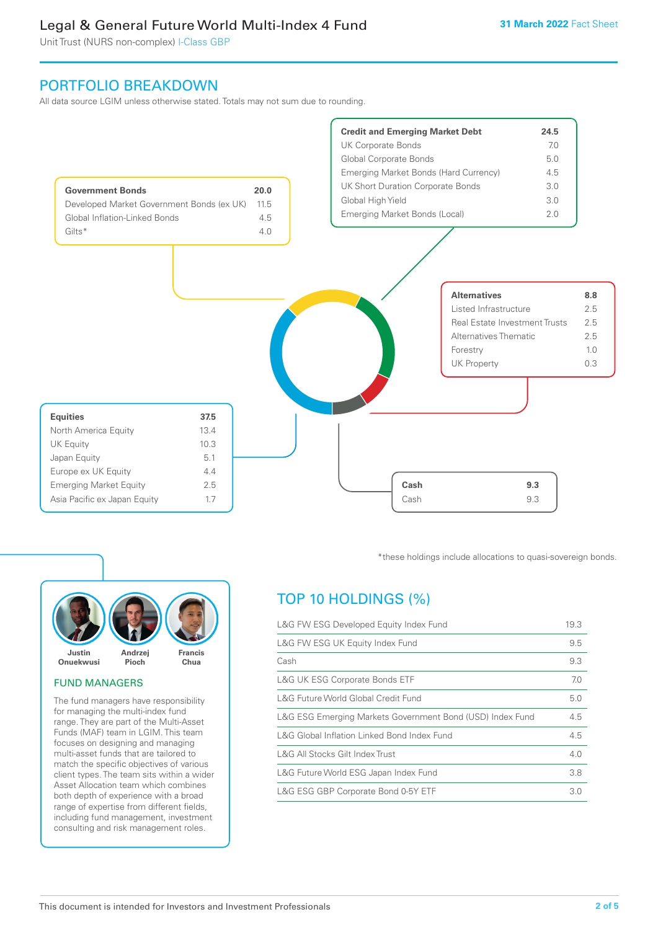Unit Trust (NURS non-complex) I-Class GBP

## PORTFOLIO BREAKDOWN

All data source LGIM unless otherwise stated. Totals may not sum due to rounding.





#### FUND MANAGERS

The fund managers have responsibility for managing the multi-index fund range. They are part of the Multi-Asset Funds (MAF) team in LGIM. This team focuses on designing and managing multi-asset funds that are tailored to match the specific objectives of various client types. The team sits within a wider Asset Allocation team which combines both depth of experience with a broad range of expertise from different fields, including fund management, investment consulting and risk management roles.

\*these holdings include allocations to quasi-sovereign bonds.

# TOP 10 HOLDINGS (%)

| L&G FW ESG Developed Equity Index Fund                    |     |
|-----------------------------------------------------------|-----|
| L&G FW ESG UK Equity Index Fund                           | 9.5 |
| Cash                                                      | 9.3 |
| <b>L&amp;G UK ESG Corporate Bonds ETF</b>                 | 7.0 |
| L&G Future World Global Credit Fund                       | 5.0 |
| L&G ESG Emerging Markets Government Bond (USD) Index Fund | 4.5 |
| L&G Global Inflation Linked Bond Index Fund               |     |
| L&G All Stocks Gilt Index Trust                           | 4.0 |
| L&G Future World ESG Japan Index Fund                     | 3.8 |
| L&G ESG GBP Corporate Bond 0-5Y ETF                       | 3.0 |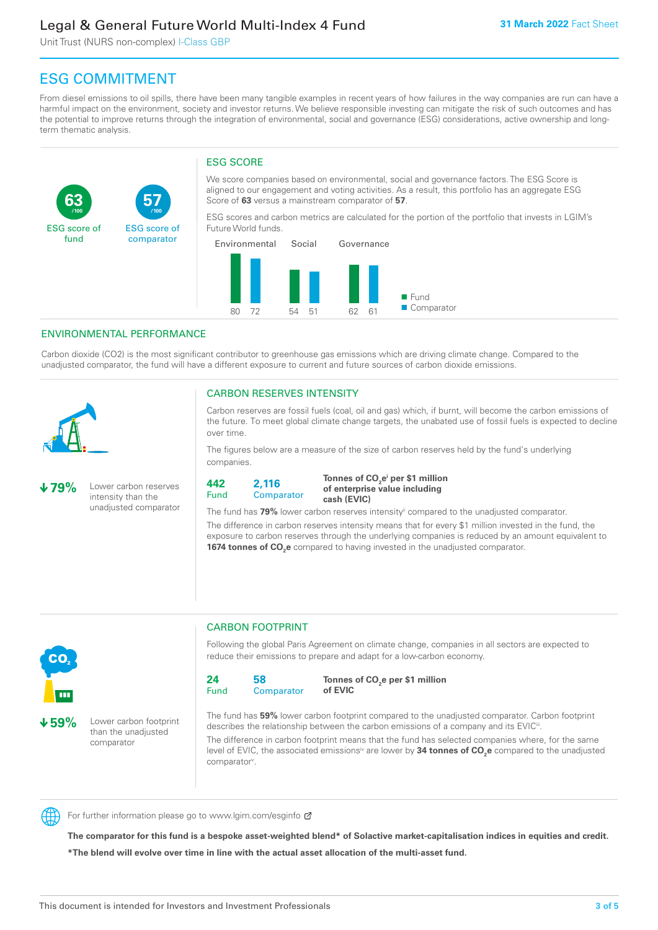Unit Trust (NURS non-complex) I-Class GBP

**57**

ESG score of comparator

# ESG COMMITMENT

From diesel emissions to oil spills, there have been many tangible examples in recent years of how failures in the way companies are run can have a harmful impact on the environment, society and investor returns. We believe responsible investing can mitigate the risk of such outcomes and has the potential to improve returns through the integration of environmental, social and governance (ESG) considerations, active ownership and longterm thematic analysis.

#### ESG SCORE

We score companies based on environmental, social and governance factors. The ESG Score is aligned to our engagement and voting activities. As a result, this portfolio has an aggregate ESG Score of **63** versus a mainstream comparator of **57**.

ESG scores and carbon metrics are calculated for the portion of the portfolio that invests in LGIM's Future World funds.



#### ENVIRONMENTAL PERFORMANCE

**/100 /100**

Carbon dioxide (CO2) is the most significant contributor to greenhouse gas emissions which are driving climate change. Compared to the unadjusted comparator, the fund will have a different exposure to current and future sources of carbon dioxide emissions.



**63**

ESG score of fund

#### CARBON RESERVES INTENSITY

Carbon reserves are fossil fuels (coal, oil and gas) which, if burnt, will become the carbon emissions of the future. To meet global climate change targets, the unabated use of fossil fuels is expected to decline over time.

The figures below are a measure of the size of carbon reserves held by the fund's underlying companies.

**79%** Lower carbon reserves intensity than the unadjusted comparator



Tonnes of CO<sub>2</sub>e<sup>i</sup> per \$1 million **of enterprise value including cash (EVIC)**

The fund has 79% lower carbon reserves intensity<sup>ii</sup> compared to the unadjusted comparator.

The difference in carbon reserves intensity means that for every \$1 million invested in the fund, the exposure to carbon reserves through the underlying companies is reduced by an amount equivalent to **1674 tonnes of CO<sub>2</sub>e** compared to having invested in the unadjusted comparator.



**59%** Lower carbon footprint than the unadjusted comparator

### CARBON FOOTPRINT

Following the global Paris Agreement on climate change, companies in all sectors are expected to reduce their emissions to prepare and adapt for a low-carbon economy.



**Tonnes of CO2 e per \$1 million of EVIC**

The fund has **59%** lower carbon footprint compared to the unadjusted comparator. Carbon footprint describes the relationship between the carbon emissions of a company and its EVIC<sup>ii</sup>.

The difference in carbon footprint means that the fund has selected companies where, for the same level of EVIC, the associated emissions<sup>iv</sup> are lower by **34 tonnes of CO<sub>2</sub>e** compared to the unadjusted comparator<sup>v</sup>.



For further information please go to www.lgim.com/esginfo Ø

**The comparator for this fund is a bespoke asset-weighted blend\* of Solactive market-capitalisation indices in equities and credit. \*The blend will evolve over time in line with the actual asset allocation of the multi-asset fund.**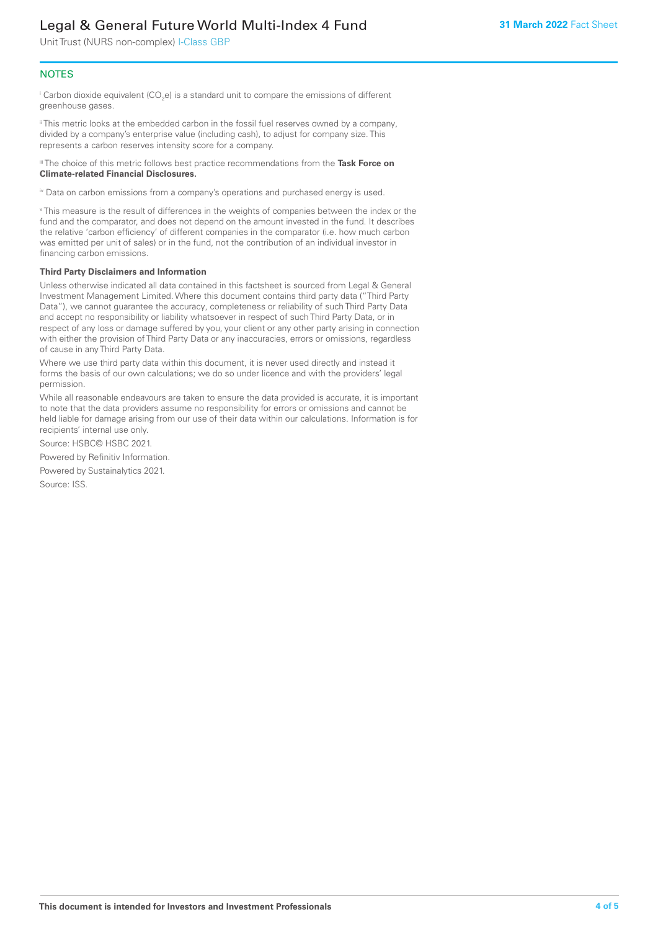Unit Trust (NURS non-complex) I-Class GBP

#### **NOTES**

 $^\mathrm{i}$  Carbon dioxide equivalent (CO<sub>2</sub>e) is a standard unit to compare the emissions of different greenhouse gases.

ii This metric looks at the embedded carbon in the fossil fuel reserves owned by a company, divided by a company's enterprise value (including cash), to adjust for company size. This represents a carbon reserves intensity score for a company.

iii The choice of this metric follows best practice recommendations from the **Task Force on Climate-related Financial Disclosures.**

iv Data on carbon emissions from a company's operations and purchased energy is used.

v This measure is the result of differences in the weights of companies between the index or the fund and the comparator, and does not depend on the amount invested in the fund. It describes the relative 'carbon efficiency' of different companies in the comparator (i.e. how much carbon was emitted per unit of sales) or in the fund, not the contribution of an individual investor in financing carbon emissions.

#### **Third Party Disclaimers and Information**

Unless otherwise indicated all data contained in this factsheet is sourced from Legal & General Investment Management Limited. Where this document contains third party data ("Third Party Data"), we cannot guarantee the accuracy, completeness or reliability of such Third Party Data and accept no responsibility or liability whatsoever in respect of such Third Party Data, or in respect of any loss or damage suffered by you, your client or any other party arising in connection with either the provision of Third Party Data or any inaccuracies, errors or omissions, regardless of cause in any Third Party Data.

Where we use third party data within this document, it is never used directly and instead it forms the basis of our own calculations; we do so under licence and with the providers' legal permission.

While all reasonable endeavours are taken to ensure the data provided is accurate, it is important to note that the data providers assume no responsibility for errors or omissions and cannot be held liable for damage arising from our use of their data within our calculations. Information is for recipients' internal use only.

Source: HSBC© HSBC 2021.

Powered by Refinitiv Information.

Powered by Sustainalytics 2021.

Source: ISS.